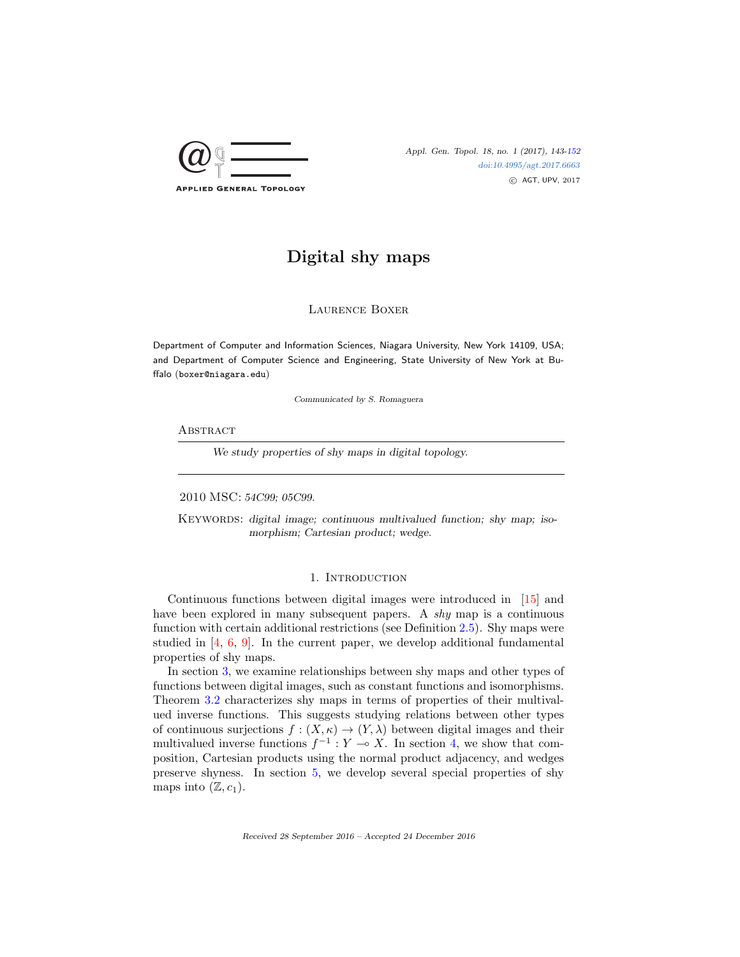

Appl. Gen. Topol. 18, no. 1 (2017), 143[-152](#page-9-0) [doi:10.4995/agt.2017.6663](http://dx.doi.org/10.4995/agt.2017.6663) c AGT, UPV, 2017

# Digital shy maps

Laurence Boxer

Department of Computer and Information Sciences, Niagara University, New York 14109, USA; and Department of Computer Science and Engineering, State University of New York at Buffalo (boxer@niagara.edu)

Communicated by S. Romaguera

### **ABSTRACT**

We study properties of shy maps in digital topology.

2010 MSC: 54C99; 05C99.

KEYWORDS: digital image; continuous multivalued function; shy map; isomorphism; Cartesian product; wedge.

# 1. INTRODUCTION

Continuous functions between digital images were introduced in [\[15\]](#page-9-1) and have been explored in many subsequent papers. A *shy* map is a continuous function with certain additional restrictions (see Definition [2.5\)](#page-2-0). Shy maps were studied in  $[4, 6, 9]$  $[4, 6, 9]$  $[4, 6, 9]$  $[4, 6, 9]$  $[4, 6, 9]$ . In the current paper, we develop additional fundamental properties of shy maps.

In section [3,](#page-3-0) we examine relationships between shy maps and other types of functions between digital images, such as constant functions and isomorphisms. Theorem [3.2](#page-3-1) characterizes shy maps in terms of properties of their multivalued inverse functions. This suggests studying relations between other types of continuous surjections  $f : (X, \kappa) \to (Y, \lambda)$  between digital images and their multivalued inverse functions  $f^{-1}: Y \to X$ . In section [4,](#page-4-0) we show that composition, Cartesian products using the normal product adjacency, and wedges preserve shyness. In section [5,](#page-6-0) we develop several special properties of shy maps into  $(\mathbb{Z}, c_1)$ .

Received 28 September 2016 – Accepted 24 December 2016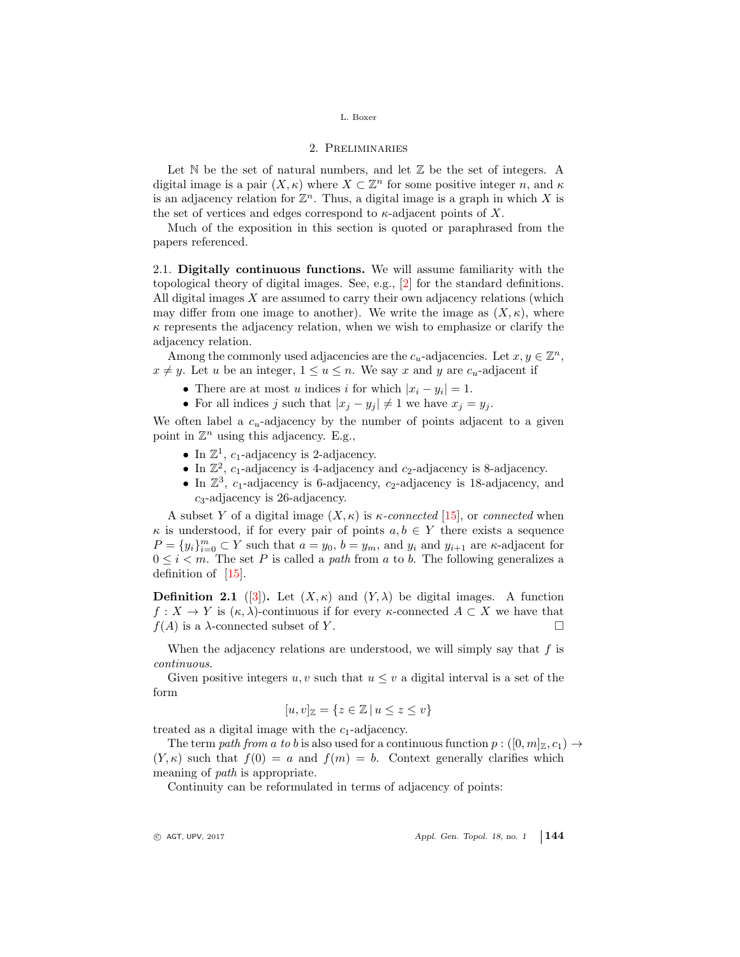## 2. Preliminaries

Let  $\mathbb N$  be the set of natural numbers, and let  $\mathbb Z$  be the set of integers. A digital image is a pair  $(X, \kappa)$  where  $X \subset \mathbb{Z}^n$  for some positive integer n, and  $\kappa$ is an adjacency relation for  $\mathbb{Z}^n$ . Thus, a digital image is a graph in which X is the set of vertices and edges correspond to  $\kappa$ -adjacent points of X.

Much of the exposition in this section is quoted or paraphrased from the papers referenced.

2.1. Digitally continuous functions. We will assume familiarity with the topological theory of digital images. See, e.g., [\[2\]](#page-9-5) for the standard definitions. All digital images  $X$  are assumed to carry their own adjacency relations (which may differ from one image to another). We write the image as  $(X, \kappa)$ , where  $\kappa$  represents the adjacency relation, when we wish to emphasize or clarify the adjacency relation.

Among the commonly used adjacencies are the  $c_u$ -adjacencies. Let  $x, y \in \mathbb{Z}^n$ ,  $x \neq y$ . Let u be an integer,  $1 \leq u \leq n$ . We say x and y are  $c_u$ -adjacent if

- There are at most u indices i for which  $|x_i y_i| = 1$ .
- For all indices j such that  $|x_i y_i| \neq 1$  we have  $x_i = y_i$ .

We often label a  $c_u$ -adjacency by the number of points adjacent to a given point in  $\mathbb{Z}^n$  using this adjacency. E.g.,

- In  $\mathbb{Z}^1$ ,  $c_1$ -adjacency is 2-adjacency.
- In  $\mathbb{Z}^2$ ,  $c_1$ -adjacency is 4-adjacency and  $c_2$ -adjacency is 8-adjacency.
- In  $\mathbb{Z}^3$ ,  $c_1$ -adjacency is 6-adjacency,  $c_2$ -adjacency is 18-adjacency, and  $c_3$ -adjacency is 26-adjacency.

A subset Y of a digital image  $(X, \kappa)$  is  $\kappa$ -connected [\[15\]](#page-9-1), or connected when  $\kappa$  is understood, if for every pair of points  $a, b \in Y$  there exists a sequence  $P = \{y_i\}_{i=0}^m \subset Y$  such that  $a = y_0$ ,  $b = y_m$ , and  $y_i$  and  $y_{i+1}$  are  $\kappa$ -adjacent for  $0 \leq i \leq m$ . The set P is called a path from a to b. The following generalizes a definition of [\[15\]](#page-9-1).

<span id="page-1-0"></span>**Definition 2.1** ([\[3\]](#page-9-6)). Let  $(X, \kappa)$  and  $(Y, \lambda)$  be digital images. A function  $f: X \to Y$  is  $(\kappa, \lambda)$ -continuous if for every  $\kappa$ -connected  $A \subset X$  we have that  $f(A)$  is a  $\lambda$ -connected subset of Y.

When the adjacency relations are understood, we will simply say that  $f$  is continuous.

Given positive integers u, v such that  $u \leq v$  a digital interval is a set of the form

$$
[u, v]_{\mathbb{Z}} = \{ z \in \mathbb{Z} \mid u \le z \le v \}
$$

treated as a digital image with the  $c_1$ -adjacency.

The term path from a to b is also used for a continuous function  $p: ([0, m]_Z, c_1) \rightarrow$  $(Y, \kappa)$  such that  $f(0) = a$  and  $f(m) = b$ . Context generally clarifies which meaning of path is appropriate.

Continuity can be reformulated in terms of adjacency of points:

 $\circ$  AGT, UPV, 2017  $\circ$  Appl. Gen. Topol. 18, no. 1 144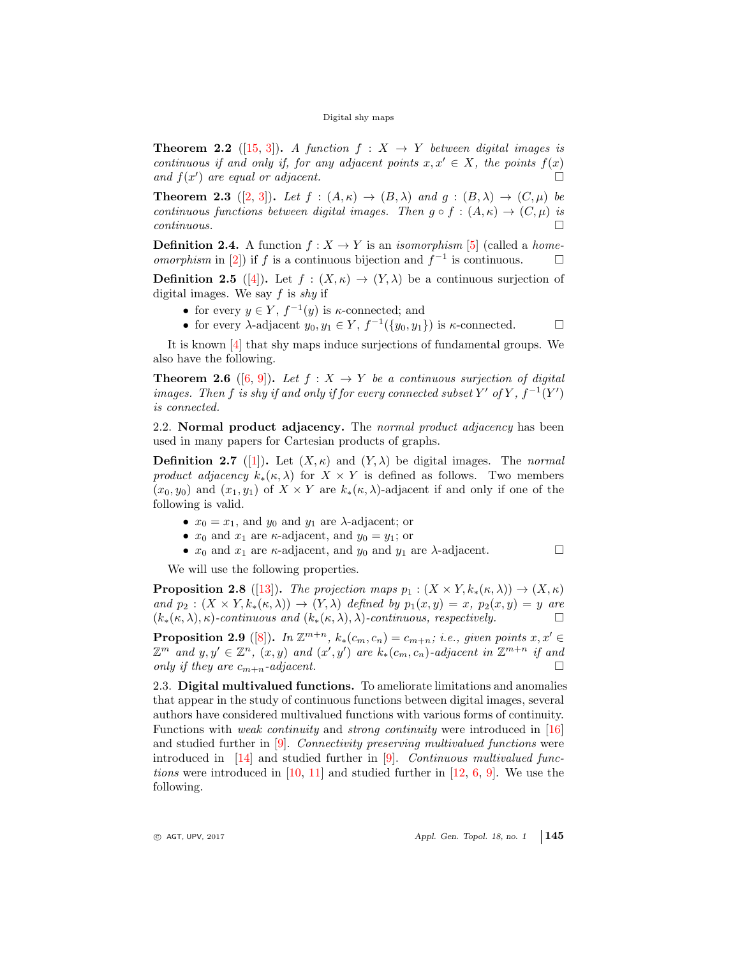**Theorem 2.2** ([\[15,](#page-9-1) [3\]](#page-9-6)). A function  $f: X \rightarrow Y$  between digital images is continuous if and only if, for any adjacent points  $x, x' \in X$ , the points  $f(x)$ and  $f(x')$  are equal or adjacent.

<span id="page-2-5"></span>**Theorem 2.3** ([\[2,](#page-9-5) [3\]](#page-9-6)). Let  $f : (A, \kappa) \rightarrow (B, \lambda)$  and  $g : (B, \lambda) \rightarrow (C, \mu)$  be continuous functions between digital images. Then  $g \circ f : (A, \kappa) \to (C, \mu)$  is  $continuous.$ 

<span id="page-2-2"></span>**Definition 2.4.** A function  $f : X \to Y$  is an *isomorphism* [\[5\]](#page-9-7) (called a *homeomorphism* in [\[2\]](#page-9-5)) if f is a continuous bijection and  $f^{-1}$  is continuous.  $□$ 

<span id="page-2-0"></span>**Definition 2.5** ([\[4\]](#page-9-2)). Let  $f : (X, \kappa) \to (Y, \lambda)$  be a continuous surjection of digital images. We say  $f$  is shy if

- for every  $y \in Y$ ,  $f^{-1}(y)$  is  $\kappa$ -connected; and
- for every  $\lambda$ -adjacent  $y_0, y_1 \in Y$ ,  $f^{-1}(\{y_0, y_1\})$  is  $\kappa$ -connected.  $\Box$

It is known [\[4\]](#page-9-2) that shy maps induce surjections of fundamental groups. We also have the following.

<span id="page-2-1"></span>**Theorem 2.6** ([\[6,](#page-9-3) [9\]](#page-9-4)). Let  $f : X \to Y$  be a continuous surjection of digital images. Then f is shy if and only if for every connected subset Y' of Y,  $f^{-1}(Y')$ is connected.

2.2. Normal product adjacency. The normal product adjacency has been used in many papers for Cartesian products of graphs.

<span id="page-2-3"></span>**Definition 2.7** ([\[1\]](#page-9-8)). Let  $(X, \kappa)$  and  $(Y, \lambda)$  be digital images. The normal product adjacency  $k_*(\kappa, \lambda)$  for  $X \times Y$  is defined as follows. Two members  $(x_0, y_0)$  and  $(x_1, y_1)$  of  $X \times Y$  are  $k_*(\kappa, \lambda)$ -adjacent if and only if one of the following is valid.

- $x_0 = x_1$ , and  $y_0$  and  $y_1$  are  $\lambda$ -adjacent; or
- $x_0$  and  $x_1$  are  $\kappa$ -adjacent, and  $y_0 = y_1$ ; or
- $x_0$  and  $x_1$  are  $\kappa$ -adjacent, and  $y_0$  and  $y_1$  are  $\lambda$ -adjacent.  $\Box$

We will use the following properties.

<span id="page-2-4"></span>**Proposition 2.8** ([\[13\]](#page-9-9)). The projection maps  $p_1 : (X \times Y, k_*(\kappa, \lambda)) \to (X, \kappa)$ and  $p_2 : (X \times Y, k_*(\kappa, \lambda)) \to (Y, \lambda)$  defined by  $p_1(x, y) = x$ ,  $p_2(x, y) = y$  are  $(k_*(\kappa,\lambda),\kappa)$ -continuous and  $(k_*(\kappa,\lambda),\lambda)$ -continuous, respectively.

<span id="page-2-6"></span>**Proposition 2.9** ([\[8\]](#page-9-10)). In  $\mathbb{Z}^{m+n}$ ,  $k_*(c_m, c_n) = c_{m+n}$ ; i.e., given points  $x, x' \in$  $\mathbb{Z}^m$  and  $y, y' \in \mathbb{Z}^n$ ,  $(x, y)$  and  $(x', y')$  are  $k_*(c_m, c_n)$ -adjacent in  $\mathbb{Z}^{m+n}$  if and only if they are  $c_{m+n}$ -adjacent.

2.3. Digital multivalued functions. To ameliorate limitations and anomalies that appear in the study of continuous functions between digital images, several authors have considered multivalued functions with various forms of continuity. Functions with *weak continuity* and *strong continuity* were introduced in [\[16\]](#page-9-11) and studied further in [\[9\]](#page-9-4). Connectivity preserving multivalued functions were introduced in  $[14]$  and studied further in  $[9]$ . Continuous multivalued func*tions* were introduced in  $[10, 11]$  $[10, 11]$  $[10, 11]$  and studied further in  $[12, 6, 9]$  $[12, 6, 9]$  $[12, 6, 9]$  $[12, 6, 9]$  $[12, 6, 9]$ . We use the following.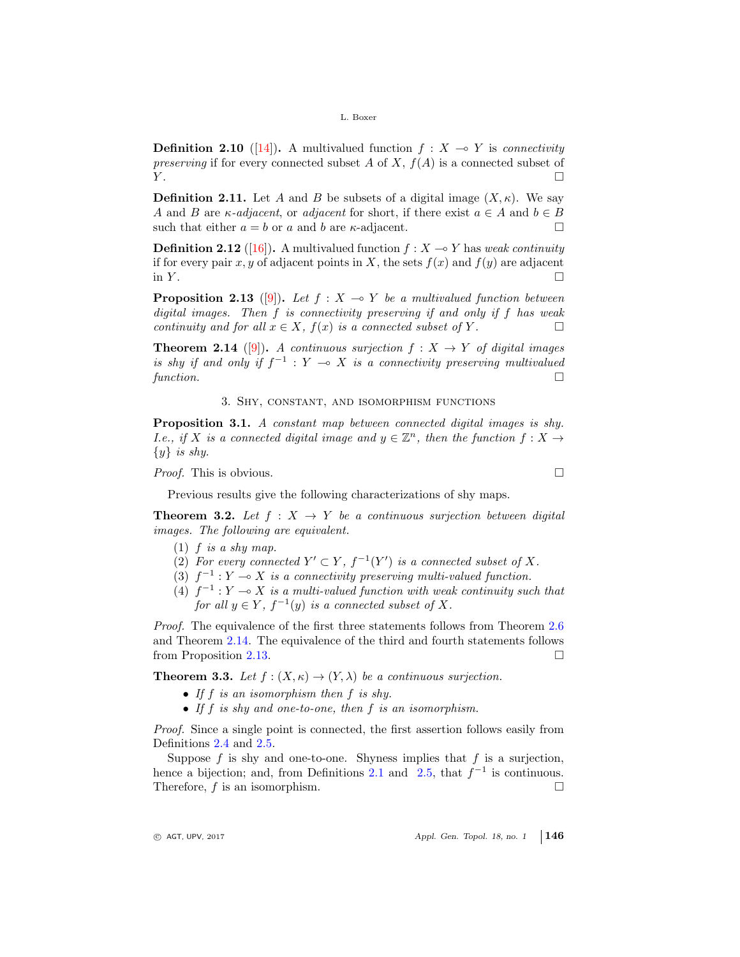**Definition 2.10** ([\[14\]](#page-9-12)). A multivalued function  $f : X \to Y$  is *connectivity* preserving if for every connected subset A of X,  $f(A)$  is a connected subset of  $Y.$ 

**Definition 2.11.** Let A and B be subsets of a digital image  $(X, \kappa)$ . We say A and B are  $\kappa$ -adjacent, or adjacent for short, if there exist  $a \in A$  and  $b \in B$ such that either  $a = b$  or a and b are  $\kappa$ -adjacent.

**Definition 2.12** ([\[16\]](#page-9-11)). A multivalued function  $f : X \to Y$  has weak continuity if for every pair x, y of adjacent points in X, the sets  $f(x)$  and  $f(y)$  are adjacent in  $Y$ .

<span id="page-3-3"></span>**Proposition 2.13** ([\[9\]](#page-9-4)). Let  $f : X \to Y$  be a multivalued function between digital images. Then f is connectivity preserving if and only if f has weak continuity and for all  $x \in X$ ,  $f(x)$  is a connected subset of Y.

<span id="page-3-2"></span>**Theorem 2.14** ([\[9\]](#page-9-4)). A continuous surjection  $f : X \rightarrow Y$  of digital images is shy if and only if  $f^{-1}$  :  $Y \multimap X$  is a connectivity preserving multivalued function.  $\Box$ 

## 3. Shy, constant, and isomorphism functions

<span id="page-3-0"></span>Proposition 3.1. A constant map between connected digital images is shy. *I.e.*, if X is a connected digital image and  $y \in \mathbb{Z}^n$ , then the function  $f : X \to Y$  $\{y\}$  is shy.

*Proof.* This is obvious.

Previous results give the following characterizations of shy maps.

<span id="page-3-1"></span>**Theorem 3.2.** Let  $f : X \rightarrow Y$  be a continuous surjection between digital images. The following are equivalent.

- $(1)$  f is a shy map.
- (2) For every connected  $Y' \subset Y$ ,  $f^{-1}(Y')$  is a connected subset of X.
- (3)  $f^{-1}: Y \to X$  is a connectivity preserving multi-valued function.
- (4)  $f^{-1}: Y \longrightarrow X$  is a multi-valued function with weak continuity such that for all  $y \in Y$ ,  $f^{-1}(y)$  is a connected subset of X.

Proof. The equivalence of the first three statements follows from Theorem [2.6](#page-2-1) and Theorem [2.14.](#page-3-2) The equivalence of the third and fourth statements follows from Proposition [2.13.](#page-3-3)

**Theorem 3.3.** Let  $f : (X, \kappa) \to (Y, \lambda)$  be a continuous surjection.

- If f is an isomorphism then f is shy.
- If f is shy and one-to-one, then f is an isomorphism.

Proof. Since a single point is connected, the first assertion follows easily from Definitions [2.4](#page-2-2) and [2.5.](#page-2-0)

Suppose  $f$  is shy and one-to-one. Shyness implies that  $f$  is a surjection, hence a bijection; and, from Definitions [2.1](#page-1-0) and [2.5,](#page-2-0) that  $f^{-1}$  is continuous. Therefore,  $f$  is an isomorphism.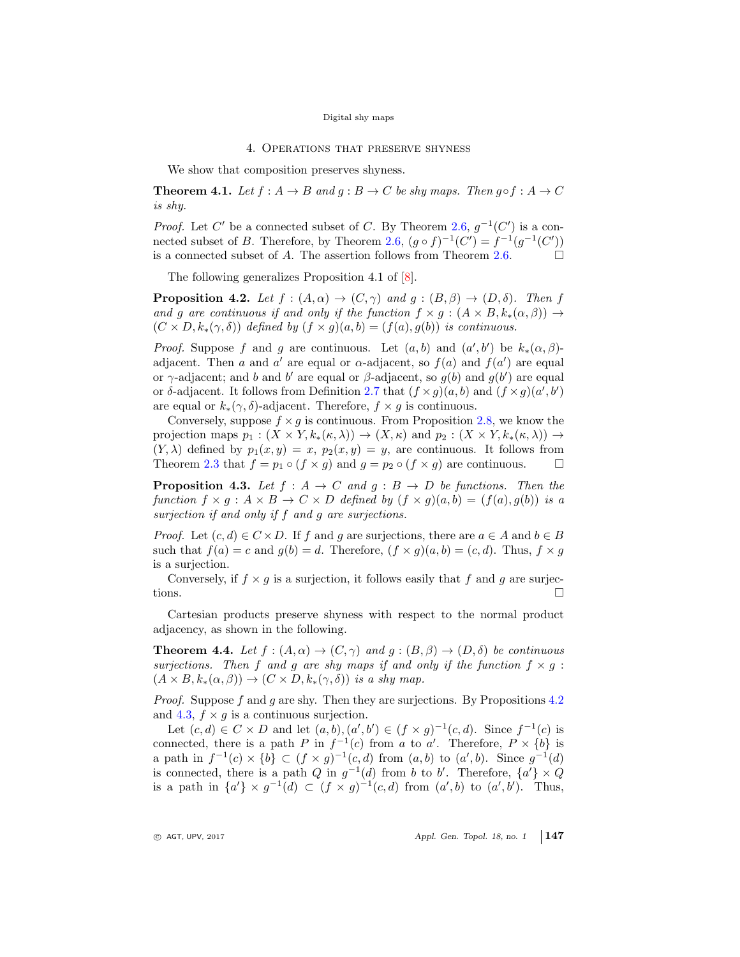#### 4. Operations that preserve shyness

<span id="page-4-0"></span>We show that composition preserves shyness.

**Theorem 4.1.** Let  $f : A \to B$  and  $g : B \to C$  be shy maps. Then  $g \circ f : A \to C$ is shy.

*Proof.* Let C' be a connected subset of C. By Theorem [2.6,](#page-2-1)  $g^{-1}(C')$  is a con-nected subset of B. Therefore, by Theorem [2.6,](#page-2-1)  $(g \circ f)^{-1}(C') = f^{-1}(g^{-1}(C'))$ is a connected subset of A. The assertion follows from Theorem [2.6.](#page-2-1)  $\Box$ 

The following generalizes Proposition 4.1 of [\[8\]](#page-9-10).

<span id="page-4-1"></span>**Proposition 4.2.** Let  $f : (A, \alpha) \to (C, \gamma)$  and  $g : (B, \beta) \to (D, \delta)$ . Then f and g are continuous if and only if the function  $f \times g : (A \times B, k_*(\alpha, \beta)) \rightarrow$  $(C \times D, k_*(\gamma, \delta))$  defined by  $(f \times g)(a, b) = (f(a), g(b))$  is continuous.

*Proof.* Suppose f and g are continuous. Let  $(a, b)$  and  $(a', b')$  be  $k_*(\alpha, \beta)$ adjacent. Then a and a' are equal or  $\alpha$ -adjacent, so  $f(a)$  and  $f(a')$  are equal or  $\gamma$ -adjacent; and b and b' are equal or  $\beta$ -adjacent, so  $g(b)$  and  $g(b')$  are equal or  $\delta$ -adjacent. It follows from Definition [2.7](#page-2-3) that  $(f \times g)(a, b)$  and  $(f \times g)(a', b')$ are equal or  $k_*(\gamma, \delta)$ -adjacent. Therefore,  $f \times g$  is continuous.

Conversely, suppose  $f \times g$  is continuous. From Proposition [2.8,](#page-2-4) we know the projection maps  $p_1 : (X \times Y, k_*(\kappa, \lambda)) \to (X, \kappa)$  and  $p_2 : (X \times Y, k_*(\kappa, \lambda)) \to$  $(Y, \lambda)$  defined by  $p_1(x, y) = x$ ,  $p_2(x, y) = y$ , are continuous. It follows from Theorem [2.3](#page-2-5) that  $f = p_1 \circ (f \times g)$  and  $g = p_2 \circ (f \times g)$  are continuous.  $\Box$ 

<span id="page-4-2"></span>**Proposition 4.3.** Let  $f : A \rightarrow C$  and  $g : B \rightarrow D$  be functions. Then the function  $f \times q : A \times B \to C \times D$  defined by  $(f \times q)(a, b) = (f(a), q(b))$  is a surjection if and only if f and g are surjections.

*Proof.* Let  $(c, d) \in C \times D$ . If f and g are surjections, there are  $a \in A$  and  $b \in B$ such that  $f(a) = c$  and  $g(b) = d$ . Therefore,  $(f \times g)(a, b) = (c, d)$ . Thus,  $f \times g$ is a surjection.

Conversely, if  $f \times g$  is a surjection, it follows easily that f and g are surjections.

Cartesian products preserve shyness with respect to the normal product adjacency, as shown in the following.

<span id="page-4-3"></span>**Theorem 4.4.** Let  $f : (A, \alpha) \to (C, \gamma)$  and  $g : (B, \beta) \to (D, \delta)$  be continuous surjections. Then f and g are shy maps if and only if the function  $f \times g$ :  $(A \times B, k_*(\alpha, \beta)) \to (C \times D, k_*(\gamma, \delta))$  is a shy map.

Proof. Suppose f and g are shy. Then they are surjections. By Propositions [4.2](#page-4-1) and [4.3,](#page-4-2)  $f \times g$  is a continuous surjection.

Let  $(c,d) \in C \times D$  and let  $(a,b), (a',b') \in (f \times g)^{-1}(c,d)$ . Since  $f^{-1}(c)$  is connected, there is a path P in  $f^{-1}(c)$  from a to a'. Therefore,  $P \times \{b\}$  is a path in  $f^{-1}(c) \times \{b\} \subset (f \times g)^{-1}(c,d)$  from  $(a, b)$  to  $(a', b)$ . Since  $g^{-1}(d)$ is connected, there is a path Q in  $g^{-1}(d)$  from b to b'. Therefore,  $\{a'\}\times Q$ is a path in  $\{a'\}\times g^{-1}(d) \subset (f\times g)^{-1}(c,d)$  from  $(a',b)$  to  $(a',b')$ . Thus,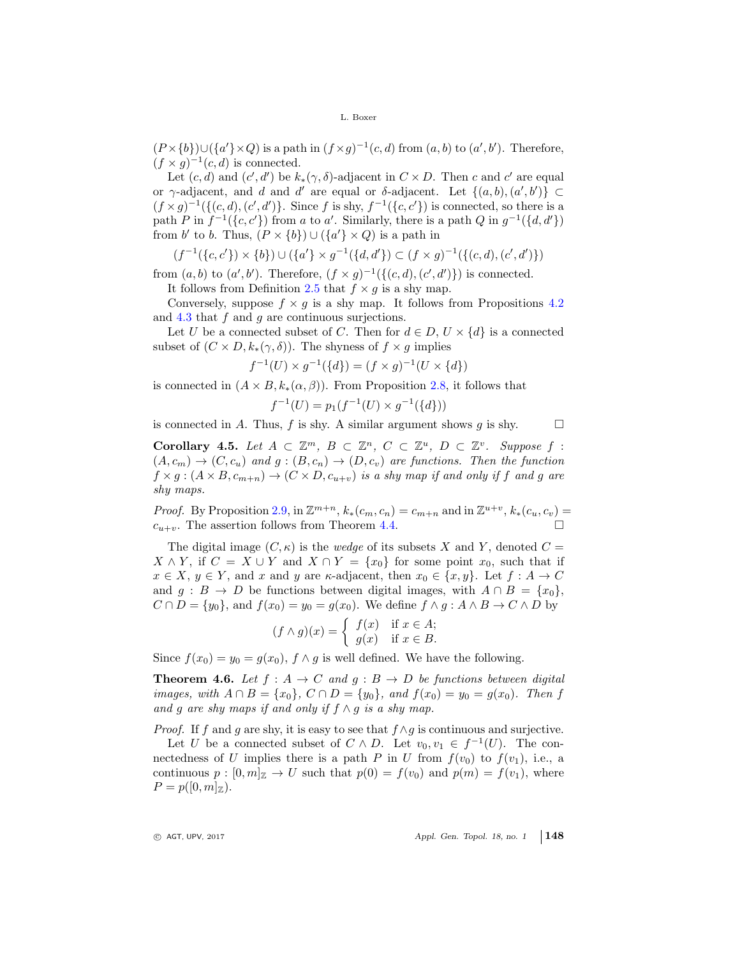$(P \times \{b\}) \cup (\{a'\}\times Q)$  is a path in  $(f \times g)^{-1}(c, d)$  from  $(a, b)$  to  $(a', b')$ . Therefore,  $(f \times g)^{-1}(c, d)$  is connected.

Let  $(c, d)$  and  $(c', d')$  be  $k_*(\gamma, \delta)$ -adjacent in  $C \times D$ . Then c and c' are equal or γ-adjacent, and d and d' are equal or δ-adjacent. Let  $\{(a, b), (a', b')\} \subset$  $(f \times g)^{-1}(\{(c, d), (c', d')\})$ . Since f is shy,  $f^{-1}(\{c, c'\})$  is connected, so there is a path P in  $f^{-1}(\lbrace c, c' \rbrace)$  from a to a'. Similarly, there is a path Q in  $g^{-1}(\lbrace d, d' \rbrace)$ from b' to b. Thus,  $(P \times \{b\}) \cup (\{a'\} \times Q)$  is a path in

$$
(f^{-1}(\{c, c'\}) \times \{b\}) \cup (\{a'\} \times g^{-1}(\{d, d'\}) \subset (f \times g)^{-1}(\{(c, d), (c', d')\})
$$

from  $(a, b)$  to  $(a', b')$ . Therefore,  $(f \times g)^{-1}(\{(c, d), (c', d')\})$  is connected. It follows from Definition [2.5](#page-2-0) that  $f \times g$  is a shy map.

Conversely, suppose  $f \times g$  is a shy map. It follows from Propositions [4.2](#page-4-1) and  $4.3$  that  $f$  and  $g$  are continuous surjections.

Let U be a connected subset of C. Then for  $d \in D$ ,  $U \times \{d\}$  is a connected subset of  $(C \times D, k_*(\gamma, \delta))$ . The shyness of  $f \times g$  implies

$$
f^{-1}(U) \times g^{-1}(\{d\}) = (f \times g)^{-1}(U \times \{d\})
$$

is connected in  $(A \times B, k_*(\alpha, \beta))$ . From Proposition [2.8,](#page-2-4) it follows that

$$
f^{-1}(U) = p_1(f^{-1}(U) \times g^{-1}(\{d\}))
$$

is connected in A. Thus, f is shy. A similar argument shows g is shy.  $\square$ 

Corollary 4.5. Let  $A \subset \mathbb{Z}^m$ ,  $B \subset \mathbb{Z}^n$ ,  $C \subset \mathbb{Z}^u$ ,  $D \subset \mathbb{Z}^v$ . Suppose f:  $(A, c_m) \rightarrow (C, c_u)$  and  $g : (B, c_n) \rightarrow (D, c_v)$  are functions. Then the function  $f \times g : (A \times B, c_{m+n}) \rightarrow (C \times D, c_{u+v})$  is a shy map if and only if f and g are shy maps.

*Proof.* By Proposition [2.9,](#page-2-6) in  $\mathbb{Z}^{m+n}$ ,  $k_*(c_m, c_n) = c_{m+n}$  and in  $\mathbb{Z}^{u+v}$ ,  $k_*(c_u, c_v) =$  $c_{u+v}$ . The assertion follows from Theorem [4.4.](#page-4-3)

The digital image  $(C, \kappa)$  is the *wedge* of its subsets X and Y, denoted  $C =$  $X \wedge Y$ , if  $C = X \cup Y$  and  $X \cap Y = \{x_0\}$  for some point  $x_0$ , such that if  $x \in X$ ,  $y \in Y$ , and x and y are  $\kappa$ -adjacent, then  $x_0 \in \{x, y\}$ . Let  $f : A \to C$ and  $g : B \to D$  be functions between digital images, with  $A \cap B = \{x_0\},\$  $C \cap D = \{y_0\}$ , and  $f(x_0) = y_0 = g(x_0)$ . We define  $f \wedge g : A \wedge B \to C \wedge D$  by

$$
(f \wedge g)(x) = \begin{cases} f(x) & \text{if } x \in A; \\ g(x) & \text{if } x \in B. \end{cases}
$$

Since  $f(x_0) = y_0 = g(x_0)$ ,  $f \wedge g$  is well defined. We have the following.

**Theorem 4.6.** Let  $f : A \to C$  and  $g : B \to D$  be functions between digital *images, with*  $A ∩ B = \{x_0\}$ ,  $C ∩ D = \{y_0\}$ , and  $f(x_0) = y_0 = g(x_0)$ . Then f and g are shy maps if and only if  $f \wedge g$  is a shy map.

*Proof.* If f and g are shy, it is easy to see that  $f \wedge g$  is continuous and surjective.

Let U be a connected subset of  $C \wedge D$ . Let  $v_0, v_1 \in f^{-1}(U)$ . The connectedness of U implies there is a path P in U from  $f(v_0)$  to  $f(v_1)$ , i.e., a continuous  $p : [0, m]_{\mathbb{Z}} \to U$  such that  $p(0) = f(v_0)$  and  $p(m) = f(v_1)$ , where  $P = p([0, m]_{\mathbb{Z}}).$ 

 $\circ$  AGT, UPV, 2017  $\circ$  Appl. Gen. Topol. 18, no. 1 148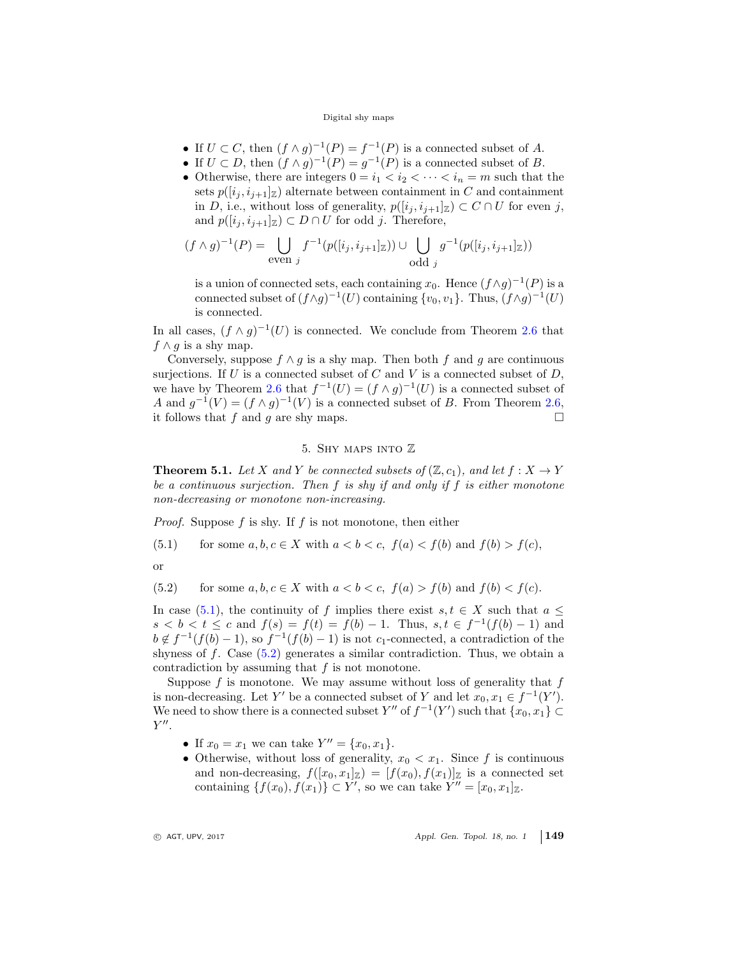- If  $U \subset C$ , then  $(f \wedge g)^{-1}(P) = f^{-1}(P)$  is a connected subset of A.
- If  $U \subset D$ , then  $(f \wedge g)^{-1}(P) = g^{-1}(P)$  is a connected subset of B.
- Otherwise, there are integers  $0 = i_1 < i_2 < \cdots < i_n = m$  such that the sets  $p([i_j, i_{j+1}]_Z)$  alternate between containment in C and containment in D, i.e., without loss of generality,  $p([i_j, i_{j+1}]_Z) \subset C \cap U$  for even j, and  $p([i_j, i_{j+1}]_\mathbb{Z}) \subset D \cap U$  for odd j. Therefore,

$$
(f \wedge g)^{-1}(P) = \bigcup_{\text{even } j} f^{-1}(p([i_j, i_{j+1}]_{\mathbb{Z}})) \cup \bigcup_{\text{odd } j} g^{-1}(p([i_j, i_{j+1}]_{\mathbb{Z}}))
$$

is a union of connected sets, each containing  $x_0$ . Hence  $(f \wedge g)^{-1}(P)$  is a connected subset of  $(f \wedge g)^{-1}(U)$  containing  $\{v_0, v_1\}$ . Thus,  $(f \wedge g)^{-1}(U)$ is connected.

In all cases,  $(f \wedge g)^{-1}(U)$  is connected. We conclude from Theorem [2.6](#page-2-1) that  $f \wedge g$  is a shy map.

Conversely, suppose  $f \wedge g$  is a shy map. Then both f and g are continuous surjections. If U is a connected subset of C and V is a connected subset of  $D$ , we have by Theorem [2.6](#page-2-1) that  $f^{-1}(U) = (f \wedge g)^{-1}(U)$  is a connected subset of A and  $g^{-1}(V) = (f \wedge g)^{-1}(V)$  is a connected subset of B. From Theorem [2.6,](#page-2-1) it follows that f and g are shy maps.  $\Box$ 

## <span id="page-6-1"></span>5. Shy maps into Z

<span id="page-6-0"></span>**Theorem 5.1.** Let X and Y be connected subsets of  $(\mathbb{Z}, c_1)$ , and let  $f : X \to Y$ be a continuous surjection. Then  $f$  is shy if and only if  $f$  is either monotone non-decreasing or monotone non-increasing.

*Proof.* Suppose f is shy. If f is not monotone, then either

(5.1) for some  $a, b, c \in X$  with  $a < b < c$ ,  $f(a) < f(b)$  and  $f(b) > f(c)$ ,

<span id="page-6-2"></span>or

(5.2) for some 
$$
a, b, c \in X
$$
 with  $a < b < c$ ,  $f(a) > f(b)$  and  $f(b) < f(c)$ .

In case [\(5.1\)](#page-6-1), the continuity of f implies there exist  $s, t \in X$  such that  $a \leq$  $s < b < t \leq c$  and  $f(s) = f(t) = f(b) - 1$ . Thus,  $s, t \in f^{-1}(f(b) - 1)$  and  $b \notin f^{-1}(f(b)-1)$ , so  $f^{-1}(f(b)-1)$  is not c<sub>1</sub>-connected, a contradiction of the shyness of f. Case  $(5.2)$  generates a similar contradiction. Thus, we obtain a contradiction by assuming that  $f$  is not monotone.

Suppose  $f$  is monotone. We may assume without loss of generality that  $f$ is non-decreasing. Let Y' be a connected subset of Y and let  $x_0, x_1 \in f^{-1}(Y')$ . We need to show there is a connected subset  $Y''$  of  $f^{-1}(Y')$  such that  $\{x_0, x_1\} \subset$  $Y''$ .

- If  $x_0 = x_1$  we can take  $Y'' = \{x_0, x_1\}.$
- Otherwise, without loss of generality,  $x_0 < x_1$ . Since f is continuous and non-decreasing,  $f([x_0, x_1]_{\mathbb{Z}}) = [f(x_0), f(x_1)]_{\mathbb{Z}}$  is a connected set containing  $\{f(x_0), f(x_1)\} \subset Y'$ , so we can take  $Y'' = [x_0, x_1]_{\mathbb{Z}}$ .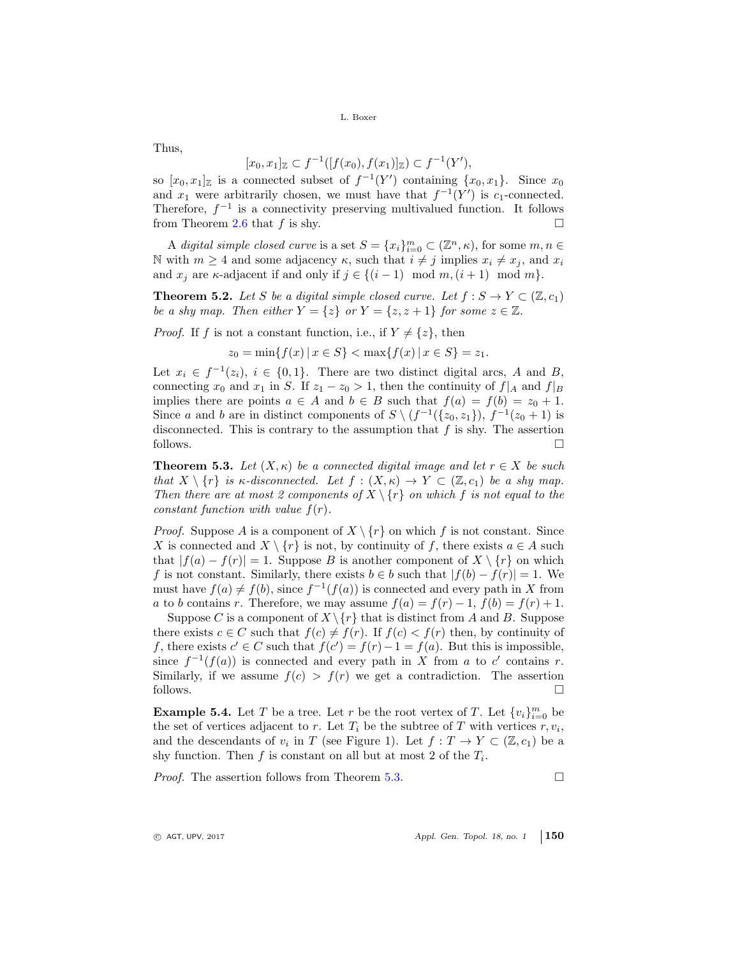Thus,

$$
[x_0, x_1]_{\mathbb{Z}} \subset f^{-1}([f(x_0), f(x_1)]_{\mathbb{Z}}) \subset f^{-1}(Y'),
$$

so  $[x_0, x_1]_{\mathbb{Z}}$  is a connected subset of  $f^{-1}(Y')$  containing  $\{x_0, x_1\}$ . Since  $x_0$ and  $x_1$  were arbitrarily chosen, we must have that  $f^{-1}(Y')$  is  $c_1$ -connected. Therefore,  $f^{-1}$  is a connectivity preserving multivalued function. It follows from Theorem [2.6](#page-2-1) that f is shy.  $\square$ 

A digital simple closed curve is a set  $S = \{x_i\}_{i=0}^m \subset (\mathbb{Z}^n, \kappa)$ , for some  $m, n \in \mathbb{Z}$ N with  $m \geq 4$  and some adjacency  $\kappa$ , such that  $i \neq j$  implies  $x_i \neq x_j$ , and  $x_i$ and  $x_i$  are  $\kappa$ -adjacent if and only if  $j \in \{(i-1) \mod m, (i+1) \mod m\}.$ 

**Theorem 5.2.** Let S be a digital simple closed curve. Let  $f : S \to Y \subset (\mathbb{Z}, c_1)$ be a shy map. Then either  $Y = \{z\}$  or  $Y = \{z, z + 1\}$  for some  $z \in \mathbb{Z}$ .

*Proof.* If f is not a constant function, i.e., if  $Y \neq \{z\}$ , then

$$
z_0 = \min\{f(x) \mid x \in S\} < \max\{f(x) \mid x \in S\} = z_1.
$$

Let  $x_i \in f^{-1}(z_i)$ ,  $i \in \{0,1\}$ . There are two distinct digital arcs, A and B, connecting  $x_0$  and  $x_1$  in S. If  $z_1 - z_0 > 1$ , then the continuity of  $f|_A$  and  $f|_B$ implies there are points  $a \in A$  and  $b \in B$  such that  $f(a) = f(b) = z_0 + 1$ . Since a and b are in distinct components of  $S \setminus (f^{-1}(\{z_0, z_1\}), f^{-1}(z_0 + 1))$  is disconnected. This is contrary to the assumption that  $f$  is shy. The assertion follows.  $\Box$ 

<span id="page-7-0"></span>**Theorem 5.3.** Let  $(X, \kappa)$  be a connected digital image and let  $r \in X$  be such that  $X \setminus \{r\}$  is  $\kappa$ -disconnected. Let  $f : (X, \kappa) \to Y \subset (\mathbb{Z}, c_1)$  be a shy map. Then there are at most 2 components of  $X \setminus \{r\}$  on which f is not equal to the constant function with value  $f(r)$ .

*Proof.* Suppose A is a component of  $X \setminus \{r\}$  on which f is not constant. Since X is connected and  $X \setminus \{r\}$  is not, by continuity of f, there exists  $a \in A$  such that  $|f(a) - f(r)| = 1$ . Suppose B is another component of  $X \setminus \{r\}$  on which f is not constant. Similarly, there exists  $b \in b$  such that  $|f(b) - f(r)| = 1$ . We must have  $f(a) \neq f(b)$ , since  $f^{-1}(f(a))$  is connected and every path in X from a to b contains r. Therefore, we may assume  $f(a) = f(r) - 1$ ,  $f(b) = f(r) + 1$ .

Suppose C is a component of  $X \setminus \{r\}$  that is distinct from A and B. Suppose there exists  $c \in C$  such that  $f(c) \neq f(r)$ . If  $f(c) < f(r)$  then, by continuity of f, there exists  $c' \in C$  such that  $f(c') = f(r) - 1 = f(a)$ . But this is impossible, since  $f^{-1}(f(a))$  is connected and every path in X from a to c' contains r. Similarly, if we assume  $f(c) > f(r)$  we get a contradiction. The assertion follows.  $\Box$ 

<span id="page-7-1"></span>**Example 5.4.** Let T be a tree. Let r be the root vertex of T. Let  $\{v_i\}_{i=0}^m$  be the set of vertices adjacent to r. Let  $T_i$  be the subtree of T with vertices  $r, v_i$ , and the descendants of  $v_i$  in T (see Figure 1). Let  $f: T \to Y \subset (\mathbb{Z}, c_1)$  be a shy function. Then  $f$  is constant on all but at most 2 of the  $T_i$ .

*Proof.* The assertion follows from Theorem [5.3.](#page-7-0)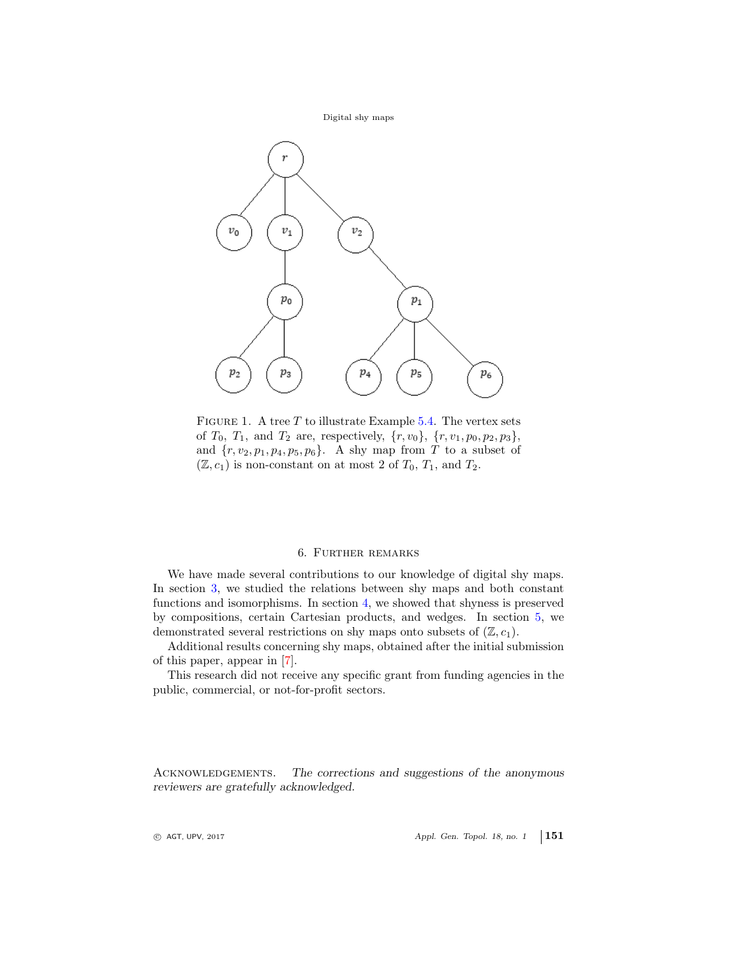

FIGURE 1. A tree  $T$  to illustrate Example [5.4.](#page-7-1) The vertex sets of  $T_0$ ,  $T_1$ , and  $T_2$  are, respectively,  $\{r, v_0\}$ ,  $\{r, v_1, p_0, p_2, p_3\}$ , and  $\{r, v_2, p_1, p_4, p_5, p_6\}$ . A shy map from T to a subset of  $(\mathbb{Z}, c_1)$  is non-constant on at most 2 of  $T_0, T_1$ , and  $T_2$ .

## 6. Further remarks

We have made several contributions to our knowledge of digital shy maps. In section [3,](#page-3-0) we studied the relations between shy maps and both constant functions and isomorphisms. In section [4,](#page-4-0) we showed that shyness is preserved by compositions, certain Cartesian products, and wedges. In section [5,](#page-6-0) we demonstrated several restrictions on shy maps onto subsets of  $(\mathbb{Z}, c_1)$ .

Additional results concerning shy maps, obtained after the initial submission of this paper, appear in [\[7\]](#page-9-16).

This research did not receive any specific grant from funding agencies in the public, commercial, or not-for-profit sectors.

ACKNOWLEDGEMENTS. The corrections and suggestions of the anonymous reviewers are gratefully acknowledged.